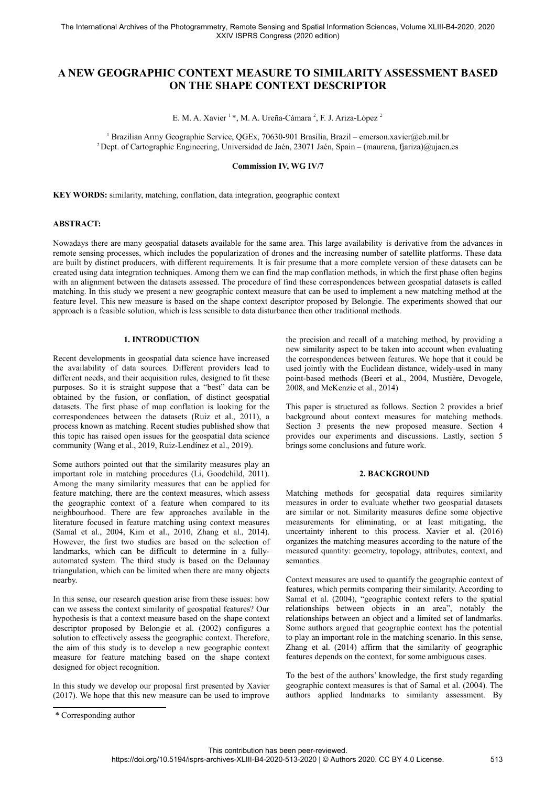# **A NEW GEOGRAPHIC CONTEXT MEASURE TO SIMILARITY ASSESSMENT BASED ON THE SHAPE CONTEXT DESCRIPTOR**

E. M. A. Xavier<sup>1</sup>\*, M. A. Ureña-Cámara<sup>[2](#page-0-0)</sup>, F. J. Ariza-López<sup>2</sup>

1 Brazilian Army Geographic Service, QGEx, 70630-901 Brasília, Brazil – emerson.xavier@eb.mil.br <sup>2</sup> Dept. of Cartographic Engineering, Universidad de Jaén, 23071 Jaén, Spain – (maurena, fjariza)@ujaen.es

### **Commission IV, WG IV/7**

**KEY WORDS:** similarity, matching, conflation, data integration, geographic context

### **ABSTRACT:**

Nowadays there are many geospatial datasets available for the same area. This large availability is derivative from the advances in remote sensing processes, which includes the popularization of drones and the increasing number of satellite platforms. These data are built by distinct producers, with different requirements. It is fair presume that a more complete version of these datasets can be created using data integration techniques. Among them we can find the map conflation methods, in which the first phase often begins with an alignment between the datasets assessed. The procedure of find these correspondences between geospatial datasets is called matching. In this study we present a new geographic context measure that can be used to implement a new matching method at the feature level. This new measure is based on the shape context descriptor proposed by Belongie. The experiments showed that our approach is a feasible solution, which is less sensible to data disturbance then other traditional methods.

### **1. INTRODUCTION**

Recent developments in geospatial data science have increased the availability of data sources. Different providers lead to different needs, and their acquisition rules, designed to fit these purposes. So it is straight suppose that a "best" data can be obtained by the fusion, or conflation, of distinct geospatial datasets. The first phase of map conflation is looking for the correspondences between the datasets (Ruiz et al., 2011), a process known as matching. Recent studies published show that this topic has raised open issues for the geospatial data science community (Wang et al., 2019, Ruiz-Lendínez et al., 2019).

Some authors pointed out that the similarity measures play an important role in matching procedures (Li, Goodchild, 2011). Among the many similarity measures that can be applied for feature matching, there are the context measures, which assess the geographic context of a feature when compared to its neighbourhood. There are few approaches available in the literature focused in feature matching using context measures (Samal et al., 2004, Kim et al., 2010, Zhang et al., 2014). However, the first two studies are based on the selection of landmarks, which can be difficult to determine in a fullyautomated system. The third study is based on the Delaunay triangulation, which can be limited when there are many objects nearby.

In this sense, our research question arise from these issues: how can we assess the context similarity of geospatial features? Our hypothesis is that a context measure based on the shape context descriptor proposed by Belongie et al. (2002) configures a solution to effectively assess the geographic context. Therefore, the aim of this study is to develop a new geographic context measure for feature matching based on the shape context designed for object recognition.

In this study we develop our proposal first presented by Xavier (2017). We hope that this new measure can be used to improve

the precision and recall of a matching method, by providing a new similarity aspect to be taken into account when evaluating the correspondences between features. We hope that it could be used jointly with the Euclidean distance, widely-used in many point-based methods (Beeri et al., 2004, Mustière, Devogele, 2008, and McKenzie et al., 2014)

This paper is structured as follows. Section 2 provides a brief background about context measures for matching methods. Section 3 presents the new proposed measure. Section 4 provides our experiments and discussions. Lastly, section 5 brings some conclusions and future work.

## **2. BACKGROUND**

Matching methods for geospatial data requires similarity measures in order to evaluate whether two geospatial datasets are similar or not. Similarity measures define some objective measurements for eliminating, or at least mitigating, the uncertainty inherent to this process. Xavier et al. (2016) organizes the matching measures according to the nature of the measured quantity: geometry, topology, attributes, context, and semantics.

Context measures are used to quantify the geographic context of features, which permits comparing their similarity. According to Samal et al. (2004), "geographic context refers to the spatial relationships between objects in an area", notably the relationships between an object and a limited set of landmarks. Some authors argued that geographic context has the potential to play an important role in the matching scenario. In this sense, Zhang et al. (2014) affirm that the similarity of geographic features depends on the context, for some ambiguous cases.

To the best of the authors' knowledge, the first study regarding geographic context measures is that of Samal et al. (2004). The authors applied landmarks to similarity assessment. By

<span id="page-0-0"></span><sup>\*</sup> Corresponding author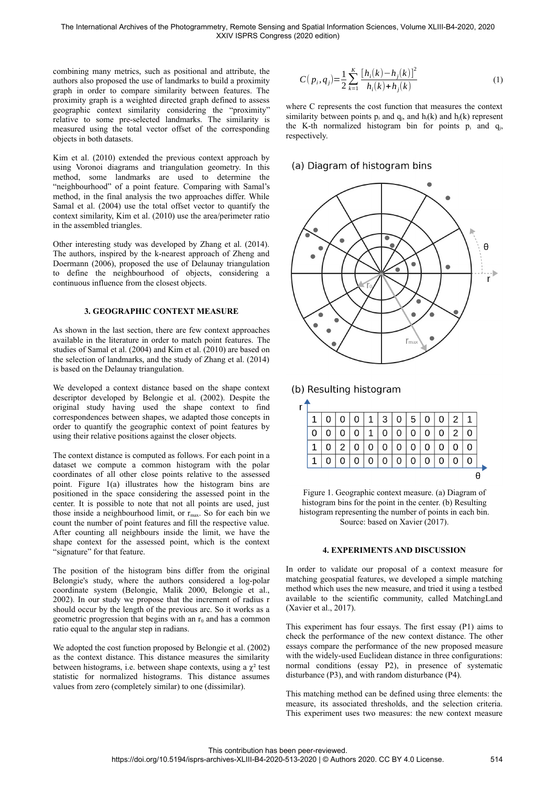combining many metrics, such as positional and attribute, the authors also proposed the use of landmarks to build a proximity graph in order to compare similarity between features. The proximity graph is a weighted directed graph defined to assess geographic context similarity considering the "proximity" relative to some pre-selected landmarks. The similarity is measured using the total vector offset of the corresponding objects in both datasets.

Kim et al. (2010) extended the previous context approach by using Voronoi diagrams and triangulation geometry. In this method, some landmarks are used to determine the "neighbourhood" of a point feature. Comparing with Samal's method, in the final analysis the two approaches differ. While Samal et al. (2004) use the total offset vector to quantify the context similarity, Kim et al. (2010) use the area/perimeter ratio in the assembled triangles.

Other interesting study was developed by Zhang et al. (2014). The authors, inspired by the k-nearest approach of Zheng and Doermann (2006), proposed the use of Delaunay triangulation to define the neighbourhood of objects, considering a continuous influence from the closest objects.

## **3. GEOGRAPHIC CONTEXT MEASURE**

As shown in the last section, there are few context approaches available in the literature in order to match point features. The studies of Samal et al. (2004) and Kim et al. (2010) are based on the selection of landmarks, and the study of Zhang et al. (2014) is based on the Delaunay triangulation.

We developed a context distance based on the shape context descriptor developed by Belongie et al. (2002). Despite the original study having used the shape context to find correspondences between shapes, we adapted those concepts in order to quantify the geographic context of point features by using their relative positions against the closer objects.

The context distance is computed as follows. For each point in a dataset we compute a common histogram with the polar coordinates of all other close points relative to the assessed point. Figure 1(a) illustrates how the histogram bins are positioned in the space considering the assessed point in the center. It is possible to note that not all points are used, just those inside a neighbourhood limit, or  $r_{\text{max}}$ . So for each bin we count the number of point features and fill the respective value. After counting all neighbours inside the limit, we have the shape context for the assessed point, which is the context "signature" for that feature.

The position of the histogram bins differ from the original Belongie's study, where the authors considered a log-polar coordinate system (Belongie, Malik 2000, Belongie et al., 2002). In our study we propose that the increment of radius r should occur by the length of the previous arc. So it works as a geometric progression that begins with an  $r_0$  and has a common ratio equal to the angular step in radians.

We adopted the cost function proposed by Belongie et al. (2002) as the context distance. This distance measures the similarity between histograms, i.e. between shape contexts, using a  $\chi^2$  test statistic for normalized histograms. This distance assumes values from zero (completely similar) to one (dissimilar).

$$
C(p_i, q_j) = \frac{1}{2} \sum_{k=1}^{K} \frac{[h_i(k) - h_j(k)]^2}{h_i(k) + h_j(k)}
$$
(1)

where C represents the cost function that measures the context similarity between points  $p_i$  and  $q_j$ , and  $h_j(k)$  and  $h_j(k)$  represent the K-th normalized histogram bin for points  $p_i$  and  $q_i$ , respectively.

# (a) Diagram of histogram bins



(b) Resulting histogram

| r |   |  |                |     |   |                |          |          |                |   |  |
|---|---|--|----------------|-----|---|----------------|----------|----------|----------------|---|--|
|   |   |  | 1 <sup>1</sup> | 3 l | 0 | 5 <sup>°</sup> | $\Omega$ | $\Omega$ | 2 <sup>1</sup> | 1 |  |
|   |   |  |                |     |   |                |          |          |                |   |  |
|   |   |  |                |     |   |                |          |          |                |   |  |
|   | 1 |  |                |     |   |                |          |          |                |   |  |
|   |   |  |                |     |   |                |          |          |                |   |  |

Figure 1. Geographic context measure. (a) Diagram of histogram bins for the point in the center. (b) Resulting histogram representing the number of points in each bin. Source: based on Xavier (2017).

### **4. EXPERIMENTS AND DISCUSSION**

In order to validate our proposal of a context measure for matching geospatial features, we developed a simple matching method which uses the new measure, and tried it using a testbed available to the scientific community, called MatchingLand (Xavier et al., 2017).

This experiment has four essays. The first essay (P1) aims to check the performance of the new context distance. The other essays compare the performance of the new proposed measure with the widely-used Euclidean distance in three configurations: normal conditions (essay P2), in presence of systematic disturbance (P3), and with random disturbance (P4).

This matching method can be defined using three elements: the measure, its associated thresholds, and the selection criteria. This experiment uses two measures: the new context measure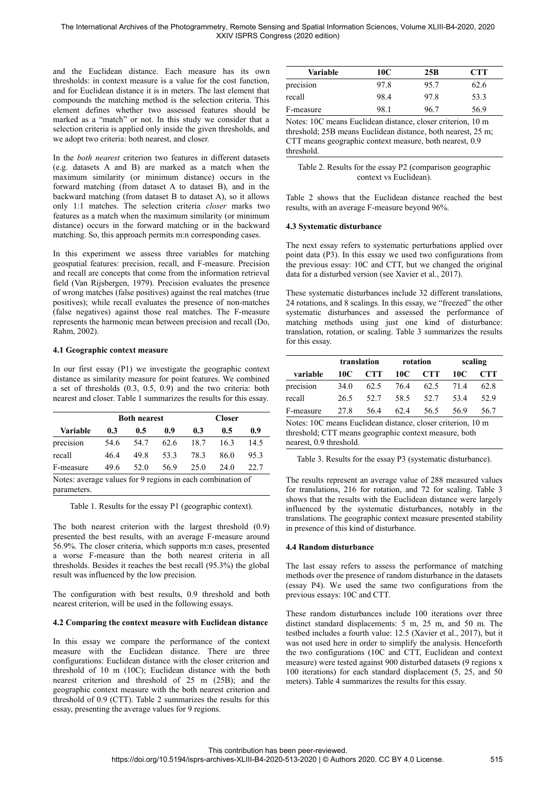### The International Archives of the Photogrammetry, Remote Sensing and Spatial Information Sciences, Volume XLIII-B4-2020, 2020 XXIV ISPRS Congress (2020 edition)

and the Euclidean distance. Each measure has its own thresholds: in context measure is a value for the cost function, and for Euclidean distance it is in meters. The last element that compounds the matching method is the selection criteria. This element defines whether two assessed features should be marked as a "match" or not. In this study we consider that a selection criteria is applied only inside the given thresholds, and we adopt two criteria: both nearest, and closer.

In the *both nearest* criterion two features in different datasets (e.g. datasets A and B) are marked as a match when the maximum similarity (or minimum distance) occurs in the forward matching (from dataset A to dataset B), and in the backward matching (from dataset B to dataset A), so it allows only 1:1 matches. The selection criteria *closer* marks two features as a match when the maximum similarity (or minimum distance) occurs in the forward matching or in the backward matching. So, this approach permits m:n corresponding cases.

In this experiment we assess three variables for matching geospatial features: precision, recall, and F-measure. Precision and recall are concepts that come from the information retrieval field (Van Rijsbergen, 1979). Precision evaluates the presence of wrong matches (false positives) against the real matches (true positives); while recall evaluates the presence of non-matches (false negatives) against those real matches. The F-measure represents the harmonic mean between precision and recall (Do, Rahm, 2002).

### **4.1 Geographic context measure**

In our first essay (P1) we investigate the geographic context distance as similarity measure for point features. We combined a set of thresholds (0.3, 0.5, 0.9) and the two criteria: both nearest and closer. Table 1 summarizes the results for this essay.

|           |      | <b>Both nearest</b> |      | <b>Closer</b> |      |      |  |
|-----------|------|---------------------|------|---------------|------|------|--|
| Variable  | 0.3  | $0.5\,$             | 0.9  | 0.3           | 0.5  | 0.9  |  |
| precision | 54.6 | 54.7                | 62.6 | 18.7          | 16.3 | 14.5 |  |
| recall    | 464  | 49.8                | 53.3 | 783           | 86.0 | 95.3 |  |
| F-measure | 49.6 | 52.0                | 56.9 | 25.0          | 24.0 | 22.7 |  |

Table 1. Results for the essay P1 (geographic context).

The both nearest criterion with the largest threshold (0.9) presented the best results, with an average F-measure around 56.9%. The closer criteria, which supports m:n cases, presented a worse F-measure than the both nearest criteria in all thresholds. Besides it reaches the best recall (95.3%) the global result was influenced by the low precision.

The configuration with best results, 0.9 threshold and both nearest criterion, will be used in the following essays.

#### **4.2 Comparing the context measure with Euclidean distance**

In this essay we compare the performance of the context measure with the Euclidean distance. There are three configurations: Euclidean distance with the closer criterion and threshold of 10 m (10C); Euclidean distance with the both nearest criterion and threshold of 25 m (25B); and the geographic context measure with the both nearest criterion and threshold of 0.9 (CTT). Table 2 summarizes the results for this essay, presenting the average values for 9 regions.

| Variable  | 10C  | 25B  | <b>CTT</b> |
|-----------|------|------|------------|
| precision | 97.8 | 95.7 | 62.6       |
| recall    | 98.4 | 97.8 | 53.3       |
| F-measure | 98.1 | 96 7 | 56.9       |

Notes: 10C means Euclidean distance, closer criterion, 10 m threshold; 25B means Euclidean distance, both nearest, 25 m; CTT means geographic context measure, both nearest, 0.9 threshold.

Table 2. Results for the essay P2 (comparison geographic context vs Euclidean).

Table 2 shows that the Euclidean distance reached the best results, with an average F-measure beyond 96%.

#### **4.3 Systematic disturbance**

The next essay refers to systematic perturbations applied over point data (P3). In this essay we used two configurations from the previous essay: 10C and CTT, but we changed the original data for a disturbed version (see Xavier et al., 2017).

These systematic disturbances include 32 different translations, 24 rotations, and 8 scalings. In this essay, we "freezed" the other systematic disturbances and assessed the performance of matching methods using just one kind of disturbance: translation, rotation, or scaling. Table 3 summarizes the results for this essay.

|           | translation |            |      | rotation   | scaling |            |  |
|-----------|-------------|------------|------|------------|---------|------------|--|
| variable  | 10C         | <b>CTT</b> | 10C  | <b>CTT</b> | 10C     | <b>CTT</b> |  |
| precision | 34.0        | 62.5       | 76.4 | 62.5       | 714     | 62.8       |  |
| recall    | 26.5        | 52.7       | 58.5 | 52.7       | 534     | 52.9       |  |
| F-measure | 27.8        | 564        | 62.4 | 56.5       | 569     | 56.7       |  |

Notes: 10C means Euclidean distance, closer criterion, 10 m threshold; CTT means geographic context measure, both nearest, 0.9 threshold.

Table 3. Results for the essay P3 (systematic disturbance).

The results represent an average value of 288 measured values for translations, 216 for rotation, and 72 for scaling. Table 3 shows that the results with the Euclidean distance were largely influenced by the systematic disturbances, notably in the translations. The geographic context measure presented stability in presence of this kind of disturbance.

## **4.4 Random disturbance**

The last essay refers to assess the performance of matching methods over the presence of random disturbance in the datasets (essay P4). We used the same two configurations from the previous essays: 10C and CTT.

These random disturbances include 100 iterations over three distinct standard displacements: 5 m, 25 m, and 50 m. The testbed includes a fourth value: 12.5 (Xavier et al., 2017), but it was not used here in order to simplify the analysis. Henceforth the two configurations (10C and CTT, Euclidean and context measure) were tested against 900 disturbed datasets (9 regions x 100 iterations) for each standard displacement (5, 25, and 50 meters). Table 4 summarizes the results for this essay.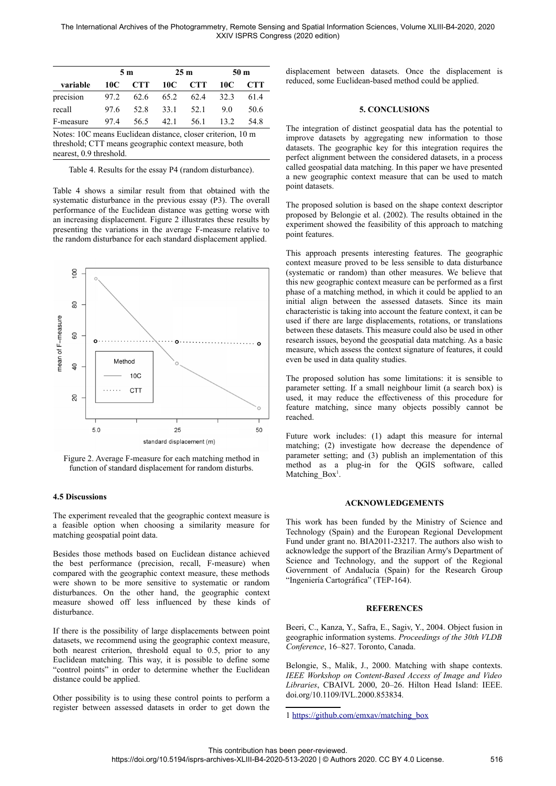|                                                                                                                                                 |      | 5 m        |      | 25 <sub>m</sub> | 50 m |      |
|-------------------------------------------------------------------------------------------------------------------------------------------------|------|------------|------|-----------------|------|------|
| variable                                                                                                                                        | 10C  | <b>CTT</b> | 10C  | <b>CTT</b>      | 10C  | CTT  |
| precision                                                                                                                                       | 97.2 | 62.6       | 65.2 | 62.4            | 32.3 | 61.4 |
| recall                                                                                                                                          | 97.6 | 52.8       | 33.1 | 52.1            | 9.0  | 50.6 |
| F-measure                                                                                                                                       | 97.4 | 56.5       | 42.1 | 56.1            | 13.2 | 54.8 |
| Notes: 10C means Euclidean distance, closer criterion, 10 m<br>threshold; CTT means geographic context measure, both<br>nearest, 0.9 threshold. |      |            |      |                 |      |      |

Table 4. Results for the essay P4 (random disturbance).

Table 4 shows a similar result from that obtained with the systematic disturbance in the previous essay (P3). The overall performance of the Euclidean distance was getting worse with an increasing displacement. Figure 2 illustrates these results by presenting the variations in the average F-measure relative to the random disturbance for each standard displacement applied.



Figure 2. Average F-measure for each matching method in function of standard displacement for random disturbs.

#### **4.5 Discussions**

The experiment revealed that the geographic context measure is a feasible option when choosing a similarity measure for matching geospatial point data.

Besides those methods based on Euclidean distance achieved the best performance (precision, recall, F-measure) when compared with the geographic context measure, these methods were shown to be more sensitive to systematic or random disturbances. On the other hand, the geographic context measure showed off less influenced by these kinds of disturbance.

If there is the possibility of large displacements between point datasets, we recommend using the geographic context measure, both nearest criterion, threshold equal to 0.5, prior to any Euclidean matching. This way, it is possible to define some "control points" in order to determine whether the Euclidean distance could be applied.

Other possibility is to using these control points to perform a register between assessed datasets in order to get down the displacement between datasets. Once the displacement is reduced, some Euclidean-based method could be applied.

#### **5. CONCLUSIONS**

The integration of distinct geospatial data has the potential to improve datasets by aggregating new information to those datasets. The geographic key for this integration requires the perfect alignment between the considered datasets, in a process called geospatial data matching. In this paper we have presented a new geographic context measure that can be used to match point datasets.

The proposed solution is based on the shape context descriptor proposed by Belongie et al. (2002). The results obtained in the experiment showed the feasibility of this approach to matching point features.

This approach presents interesting features. The geographic context measure proved to be less sensible to data disturbance (systematic or random) than other measures. We believe that this new geographic context measure can be performed as a first phase of a matching method, in which it could be applied to an initial align between the assessed datasets. Since its main characteristic is taking into account the feature context, it can be used if there are large displacements, rotations, or translations between these datasets. This measure could also be used in other research issues, beyond the geospatial data matching. As a basic measure, which assess the context signature of features, it could even be used in data quality studies.

The proposed solution has some limitations: it is sensible to parameter setting. If a small neighbour limit (a search box) is used, it may reduce the effectiveness of this procedure for feature matching, since many objects possibly cannot be reached.

Future work includes: (1) adapt this measure for internal matching; (2) investigate how decrease the dependence of parameter setting; and (3) publish an implementation of this method as a plug-in for the QGIS software, called Matching Box<sup>[1](#page-3-0)</sup>.

### **ACKNOWLEDGEMENTS**

This work has been funded by the Ministry of Science and Technology (Spain) and the European Regional Development Fund under grant no. BIA2011-23217. The authors also wish to acknowledge the support of the Brazilian Army's Department of Science and Technology, and the support of the Regional Government of Andalucía (Spain) for the Research Group "Ingeniería Cartográfica" (TEP-164).

#### **REFERENCES**

Beeri, C., Kanza, Y., Safra, E., Sagiv, Y., 2004. Object fusion in geographic information systems. *Proceedings of the 30th VLDB Conference*, 16–827. Toronto, Canada.

Belongie, S., Malik, J., 2000. Matching with shape contexts. *IEEE Workshop on Content-Based Access of Image and Video Libraries*, CBAIVL 2000, 20–26. Hilton Head Island: IEEE. doi.org/10.1109/IVL.2000.853834.

<span id="page-3-0"></span>1 [https://github.com/emxav/matching\\_box](https://github.com/emxav/matching_box)